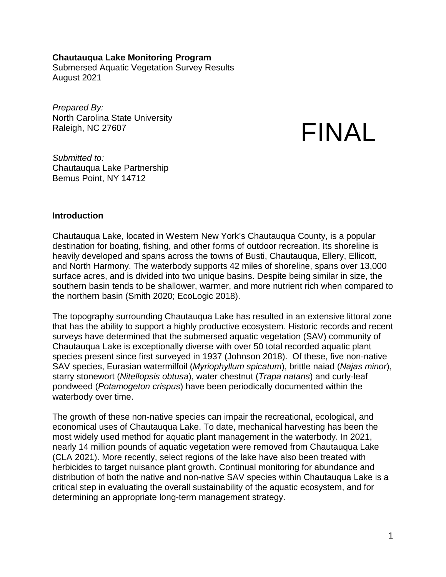#### **Chautauqua Lake Monitoring Program**

Submersed Aquatic Vegetation Survey Results August 2021

*Prepared By:* North Carolina State University Raleigh, NC 27607

# FINAL

*Submitted to:* Chautauqua Lake Partnership Bemus Point, NY 14712

#### **Introduction**

Chautauqua Lake, located in Western New York's Chautauqua County, is a popular destination for boating, fishing, and other forms of outdoor recreation. Its shoreline is heavily developed and spans across the towns of Busti, Chautauqua, Ellery, Ellicott, and North Harmony. The waterbody supports 42 miles of shoreline, spans over 13,000 surface acres, and is divided into two unique basins. Despite being similar in size, the southern basin tends to be shallower, warmer, and more nutrient rich when compared to the northern basin (Smith 2020; EcoLogic 2018).

The topography surrounding Chautauqua Lake has resulted in an extensive littoral zone that has the ability to support a highly productive ecosystem. Historic records and recent surveys have determined that the submersed aquatic vegetation (SAV) community of Chautauqua Lake is exceptionally diverse with over 50 total recorded aquatic plant species present since first surveyed in 1937 (Johnson 2018). Of these, five non-native SAV species, Eurasian watermilfoil (*Myriophyllum spicatum*), brittle naiad (*Najas minor*), starry stonewort (*Nitellopsis obtusa*), water chestnut (*Trapa natans*) and curly-leaf pondweed (*Potamogeton crispus*) have been periodically documented within the waterbody over time.

The growth of these non-native species can impair the recreational, ecological, and economical uses of Chautauqua Lake. To date, mechanical harvesting has been the most widely used method for aquatic plant management in the waterbody. In 2021, nearly 14 million pounds of aquatic vegetation were removed from Chautauqua Lake (CLA 2021). More recently, select regions of the lake have also been treated with herbicides to target nuisance plant growth. Continual monitoring for abundance and distribution of both the native and non-native SAV species within Chautauqua Lake is a critical step in evaluating the overall sustainability of the aquatic ecosystem, and for determining an appropriate long-term management strategy.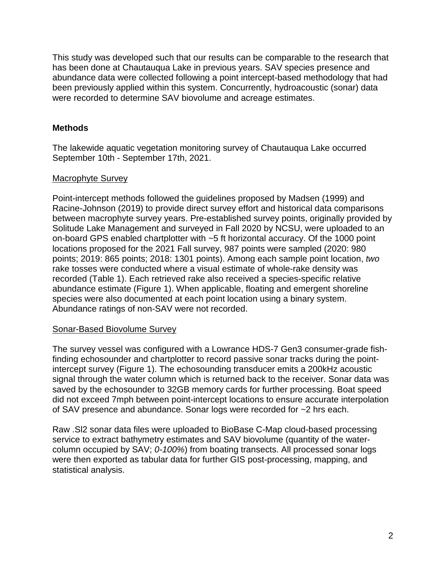This study was developed such that our results can be comparable to the research that has been done at Chautauqua Lake in previous years. SAV species presence and abundance data were collected following a point intercept-based methodology that had been previously applied within this system. Concurrently, hydroacoustic (sonar) data were recorded to determine SAV biovolume and acreage estimates.

# **Methods**

The lakewide aquatic vegetation monitoring survey of Chautauqua Lake occurred September 10th - September 17th, 2021.

# Macrophyte Survey

Point-intercept methods followed the guidelines proposed by Madsen (1999) and Racine-Johnson (2019) to provide direct survey effort and historical data comparisons between macrophyte survey years. Pre-established survey points, originally provided by Solitude Lake Management and surveyed in Fall 2020 by NCSU, were uploaded to an on-board GPS enabled chartplotter with ~5 ft horizontal accuracy. Of the 1000 point locations proposed for the 2021 Fall survey, 987 points were sampled (2020: 980 points; 2019: 865 points; 2018: 1301 points). Among each sample point location, *two* rake tosses were conducted where a visual estimate of whole-rake density was recorded (Table 1). Each retrieved rake also received a species-specific relative abundance estimate (Figure 1). When applicable, floating and emergent shoreline species were also documented at each point location using a binary system. Abundance ratings of non-SAV were not recorded.

# Sonar-Based Biovolume Survey

The survey vessel was configured with a Lowrance HDS-7 Gen3 consumer-grade fishfinding echosounder and chartplotter to record passive sonar tracks during the pointintercept survey (Figure 1). The echosounding transducer emits a 200kHz acoustic signal through the water column which is returned back to the receiver. Sonar data was saved by the echosounder to 32GB memory cards for further processing. Boat speed did not exceed 7mph between point-intercept locations to ensure accurate interpolation of SAV presence and abundance. Sonar logs were recorded for ~2 hrs each.

Raw .Sl2 sonar data files were uploaded to BioBase C-Map cloud-based processing service to extract bathymetry estimates and SAV biovolume (quantity of the watercolumn occupied by SAV; *0-100%*) from boating transects. All processed sonar logs were then exported as tabular data for further GIS post-processing, mapping, and statistical analysis.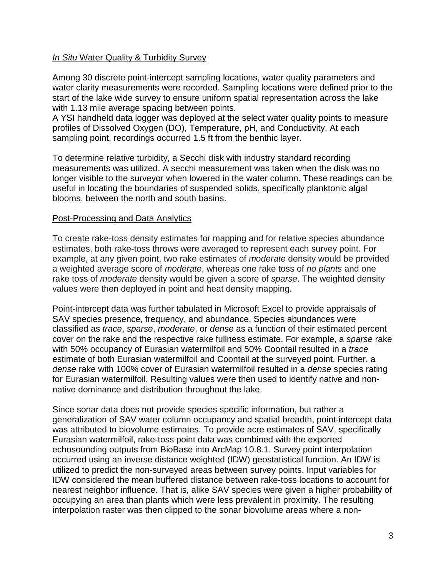## *In Situ* Water Quality & Turbidity Survey

Among 30 discrete point-intercept sampling locations, water quality parameters and water clarity measurements were recorded. Sampling locations were defined prior to the start of the lake wide survey to ensure uniform spatial representation across the lake with 1.13 mile average spacing between points.

A YSI handheld data logger was deployed at the select water quality points to measure profiles of Dissolved Oxygen (DO), Temperature, pH, and Conductivity. At each sampling point, recordings occurred 1.5 ft from the benthic layer.

To determine relative turbidity, a Secchi disk with industry standard recording measurements was utilized. A secchi measurement was taken when the disk was no longer visible to the surveyor when lowered in the water column. These readings can be useful in locating the boundaries of suspended solids, specifically planktonic algal blooms, between the north and south basins.

## Post-Processing and Data Analytics

To create rake-toss density estimates for mapping and for relative species abundance estimates, both rake-toss throws were averaged to represent each survey point. For example, at any given point, two rake estimates of *moderate* density would be provided a weighted average score of *moderate*, whereas one rake toss of *no plants* and one rake toss of *moderate* density would be given a score of *sparse*. The weighted density values were then deployed in point and heat density mapping.

Point-intercept data was further tabulated in Microsoft Excel to provide appraisals of SAV species presence, frequency, and abundance. Species abundances were classified as *trace*, *sparse*, *moderate*, or *dense* as a function of their estimated percent cover on the rake and the respective rake fullness estimate. For example, a *sparse* rake with 50% occupancy of Eurasian watermilfoil and 50% Coontail resulted in a *trace* estimate of both Eurasian watermilfoil and Coontail at the surveyed point. Further, a *dense* rake with 100% cover of Eurasian watermilfoil resulted in a *dense* species rating for Eurasian watermilfoil. Resulting values were then used to identify native and nonnative dominance and distribution throughout the lake.

Since sonar data does not provide species specific information, but rather a generalization of SAV water column occupancy and spatial breadth, point-intercept data was attributed to biovolume estimates. To provide acre estimates of SAV, specifically Eurasian watermilfoil, rake-toss point data was combined with the exported echosounding outputs from BioBase into ArcMap 10.8.1. Survey point interpolation occurred using an inverse distance weighted (IDW) geostatistical function. An IDW is utilized to predict the non-surveyed areas between survey points. Input variables for IDW considered the mean buffered distance between rake-toss locations to account for nearest neighbor influence. That is, alike SAV species were given a higher probability of occupying an area than plants which were less prevalent in proximity. The resulting interpolation raster was then clipped to the sonar biovolume areas where a non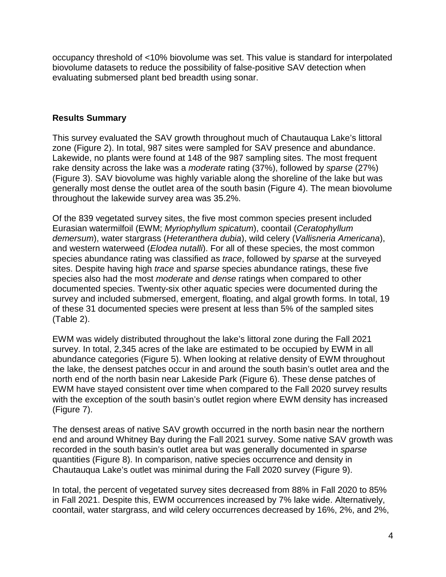occupancy threshold of <10% biovolume was set. This value is standard for interpolated biovolume datasets to reduce the possibility of false-positive SAV detection when evaluating submersed plant bed breadth using sonar.

## **Results Summary**

This survey evaluated the SAV growth throughout much of Chautauqua Lake's littoral zone (Figure 2). In total, 987 sites were sampled for SAV presence and abundance. Lakewide, no plants were found at 148 of the 987 sampling sites. The most frequent rake density across the lake was a *moderate* rating (37%), followed by *sparse* (27%) (Figure 3). SAV biovolume was highly variable along the shoreline of the lake but was generally most dense the outlet area of the south basin (Figure 4). The mean biovolume throughout the lakewide survey area was 35.2%.

Of the 839 vegetated survey sites, the five most common species present included Eurasian watermilfoil (EWM; *Myriophyllum spicatum*), coontail (*Ceratophyllum demersum*), water stargrass (*Heteranthera dubia*), wild celery (*Vallisneria Americana*), and western waterweed (*Elodea nutalli*). For all of these species, the most common species abundance rating was classified as *trace*, followed by *sparse* at the surveyed sites. Despite having high *trace* and *sparse* species abundance ratings, these five species also had the most *moderate* and *dense* ratings when compared to other documented species. Twenty-six other aquatic species were documented during the survey and included submersed, emergent, floating, and algal growth forms. In total, 19 of these 31 documented species were present at less than 5% of the sampled sites (Table 2).

EWM was widely distributed throughout the lake's littoral zone during the Fall 2021 survey. In total, 2,345 acres of the lake are estimated to be occupied by EWM in all abundance categories (Figure 5). When looking at relative density of EWM throughout the lake, the densest patches occur in and around the south basin's outlet area and the north end of the north basin near Lakeside Park (Figure 6). These dense patches of EWM have stayed consistent over time when compared to the Fall 2020 survey results with the exception of the south basin's outlet region where EWM density has increased (Figure 7).

The densest areas of native SAV growth occurred in the north basin near the northern end and around Whitney Bay during the Fall 2021 survey. Some native SAV growth was recorded in the south basin's outlet area but was generally documented in *sparse* quantities (Figure 8). In comparison, native species occurrence and density in Chautauqua Lake's outlet was minimal during the Fall 2020 survey (Figure 9).

In total, the percent of vegetated survey sites decreased from 88% in Fall 2020 to 85% in Fall 2021. Despite this, EWM occurrences increased by 7% lake wide. Alternatively, coontail, water stargrass, and wild celery occurrences decreased by 16%, 2%, and 2%,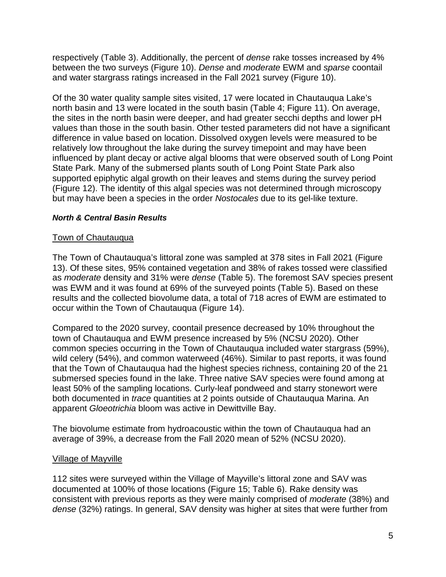respectively (Table 3). Additionally, the percent of *dense* rake tosses increased by 4% between the two surveys (Figure 10). *Dense* and *moderate* EWM and *sparse* coontail and water stargrass ratings increased in the Fall 2021 survey (Figure 10).

Of the 30 water quality sample sites visited, 17 were located in Chautauqua Lake's north basin and 13 were located in the south basin (Table 4; Figure 11). On average, the sites in the north basin were deeper, and had greater secchi depths and lower pH values than those in the south basin. Other tested parameters did not have a significant difference in value based on location. Dissolved oxygen levels were measured to be relatively low throughout the lake during the survey timepoint and may have been influenced by plant decay or active algal blooms that were observed south of Long Point State Park. Many of the submersed plants south of Long Point State Park also supported epiphytic algal growth on their leaves and stems during the survey period (Figure 12). The identity of this algal species was not determined through microscopy but may have been a species in the order *Nostocales* due to its gel-like texture.

# *North & Central Basin Results*

## Town of Chautauqua

The Town of Chautauqua's littoral zone was sampled at 378 sites in Fall 2021 (Figure 13). Of these sites, 95% contained vegetation and 38% of rakes tossed were classified as *moderate* density and 31% were *dense* (Table 5). The foremost SAV species present was EWM and it was found at 69% of the surveyed points (Table 5). Based on these results and the collected biovolume data, a total of 718 acres of EWM are estimated to occur within the Town of Chautauqua (Figure 14).

Compared to the 2020 survey, coontail presence decreased by 10% throughout the town of Chautauqua and EWM presence increased by 5% (NCSU 2020). Other common species occurring in the Town of Chautauqua included water stargrass (59%), wild celery (54%), and common waterweed (46%). Similar to past reports, it was found that the Town of Chautauqua had the highest species richness, containing 20 of the 21 submersed species found in the lake. Three native SAV species were found among at least 50% of the sampling locations. Curly-leaf pondweed and starry stonewort were both documented in *trace* quantities at 2 points outside of Chautauqua Marina. An apparent *Gloeotrichia* bloom was active in Dewittville Bay.

The biovolume estimate from hydroacoustic within the town of Chautauqua had an average of 39%, a decrease from the Fall 2020 mean of 52% (NCSU 2020).

## Village of Mayville

112 sites were surveyed within the Village of Mayville's littoral zone and SAV was documented at 100% of those locations (Figure 15; Table 6). Rake density was consistent with previous reports as they were mainly comprised of *moderate* (38%) and *dense* (32%) ratings. In general, SAV density was higher at sites that were further from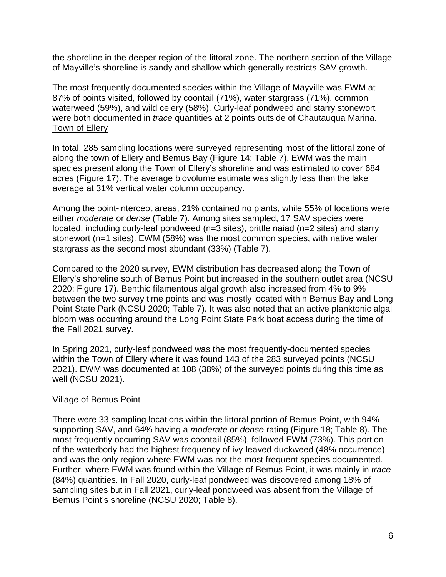the shoreline in the deeper region of the littoral zone. The northern section of the Village of Mayville's shoreline is sandy and shallow which generally restricts SAV growth.

The most frequently documented species within the Village of Mayville was EWM at 87% of points visited, followed by coontail (71%), water stargrass (71%), common waterweed (59%), and wild celery (58%). Curly-leaf pondweed and starry stonewort were both documented in *trace* quantities at 2 points outside of Chautauqua Marina. Town of Ellery

In total, 285 sampling locations were surveyed representing most of the littoral zone of along the town of Ellery and Bemus Bay (Figure 14; Table 7). EWM was the main species present along the Town of Ellery's shoreline and was estimated to cover 684 acres (Figure 17). The average biovolume estimate was slightly less than the lake average at 31% vertical water column occupancy.

Among the point-intercept areas, 21% contained no plants, while 55% of locations were either *moderate* or *dense* (Table 7). Among sites sampled, 17 SAV species were located, including curly-leaf pondweed (n=3 sites), brittle naiad (n=2 sites) and starry stonewort (n=1 sites). EWM (58%) was the most common species, with native water stargrass as the second most abundant (33%) (Table 7).

Compared to the 2020 survey, EWM distribution has decreased along the Town of Ellery's shoreline south of Bemus Point but increased in the southern outlet area (NCSU 2020; Figure 17). Benthic filamentous algal growth also increased from 4% to 9% between the two survey time points and was mostly located within Bemus Bay and Long Point State Park (NCSU 2020; Table 7). It was also noted that an active planktonic algal bloom was occurring around the Long Point State Park boat access during the time of the Fall 2021 survey.

In Spring 2021, curly-leaf pondweed was the most frequently-documented species within the Town of Ellery where it was found 143 of the 283 surveyed points (NCSU 2021). EWM was documented at 108 (38%) of the surveyed points during this time as well (NCSU 2021).

## Village of Bemus Point

There were 33 sampling locations within the littoral portion of Bemus Point, with 94% supporting SAV, and 64% having a *moderate* or *dense* rating (Figure 18; Table 8). The most frequently occurring SAV was coontail (85%), followed EWM (73%). This portion of the waterbody had the highest frequency of ivy-leaved duckweed (48% occurrence) and was the only region where EWM was not the most frequent species documented. Further, where EWM was found within the Village of Bemus Point, it was mainly in *trace* (84%) quantities. In Fall 2020, curly-leaf pondweed was discovered among 18% of sampling sites but in Fall 2021, curly-leaf pondweed was absent from the Village of Bemus Point's shoreline (NCSU 2020; Table 8).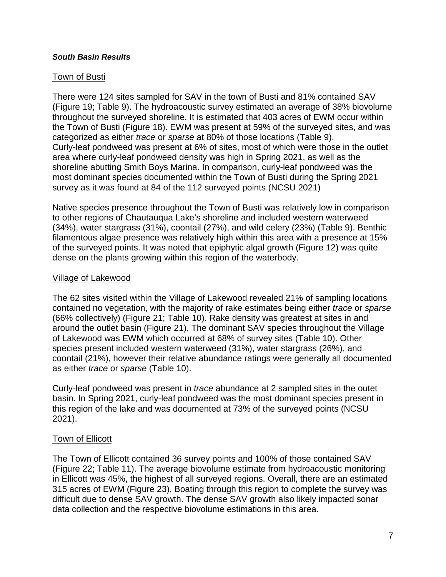#### *South Basin Results*

## Town of Busti

There were 124 sites sampled for SAV in the town of Busti and 81% contained SAV (Figure 19; Table 9). The hydroacoustic survey estimated an average of 38% biovolume throughout the surveyed shoreline. It is estimated that 403 acres of EWM occur within the Town of Busti (Figure 18). EWM was present at 59% of the surveyed sites, and was categorized as either *trace* or *sparse* at 80% of those locations (Table 9). Curly-leaf pondweed was present at 6% of sites, most of which were those in the outlet area where curly-leaf pondweed density was high in Spring 2021, as well as the shoreline abutting Smith Boys Marina. In comparison, curly-leaf pondweed was the most dominant species documented within the Town of Busti during the Spring 2021 survey as it was found at 84 of the 112 surveyed points (NCSU 2021)

Native species presence throughout the Town of Busti was relatively low in comparison to other regions of Chautauqua Lake's shoreline and included western waterweed (34%), water stargrass (31%), coontail (27%), and wild celery (23%) (Table 9). Benthic filamentous algae presence was relatively high within this area with a presence at 15% of the surveyed points. It was noted that epiphytic algal growth (Figure 12) was quite dense on the plants growing within this region of the waterbody.

#### Village of Lakewood

The 62 sites visited within the Village of Lakewood revealed 21% of sampling locations contained no vegetation, with the majority of rake estimates being either *trace* or *sparse* (66% collectively) (Figure 21; Table 10). Rake density was greatest at sites in and around the outlet basin (Figure 21). The dominant SAV species throughout the Village of Lakewood was EWM which occurred at 68% of survey sites (Table 10). Other species present included western waterweed (31%), water stargrass (26%), and coontail (21%), however their relative abundance ratings were generally all documented as either *trace* or *sparse* (Table 10).

Curly-leaf pondweed was present in *trace* abundance at 2 sampled sites in the outet basin. In Spring 2021, curly-leaf pondweed was the most dominant species present in this region of the lake and was documented at 73% of the surveyed points (NCSU 2021).

## Town of Ellicott

The Town of Ellicott contained 36 survey points and 100% of those contained SAV (Figure 22; Table 11). The average biovolume estimate from hydroacoustic monitoring in Ellicott was 45%, the highest of all surveyed regions. Overall, there are an estimated 315 acres of EWM (Figure 23). Boating through this region to complete the survey was difficult due to dense SAV growth. The dense SAV growth also likely impacted sonar data collection and the respective biovolume estimations in this area.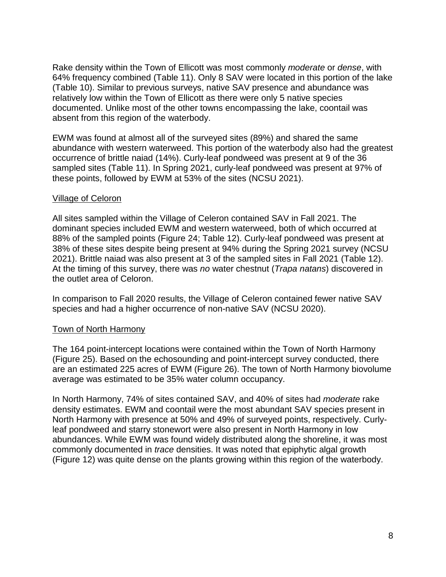Rake density within the Town of Ellicott was most commonly *moderate* or *dense*, with 64% frequency combined (Table 11). Only 8 SAV were located in this portion of the lake (Table 10). Similar to previous surveys, native SAV presence and abundance was relatively low within the Town of Ellicott as there were only 5 native species documented. Unlike most of the other towns encompassing the lake, coontail was absent from this region of the waterbody.

EWM was found at almost all of the surveyed sites (89%) and shared the same abundance with western waterweed. This portion of the waterbody also had the greatest occurrence of brittle naiad (14%). Curly-leaf pondweed was present at 9 of the 36 sampled sites (Table 11). In Spring 2021, curly-leaf pondweed was present at 97% of these points, followed by EWM at 53% of the sites (NCSU 2021).

## Village of Celoron

All sites sampled within the Village of Celeron contained SAV in Fall 2021. The dominant species included EWM and western waterweed, both of which occurred at 88% of the sampled points (Figure 24; Table 12). Curly-leaf pondweed was present at 38% of these sites despite being present at 94% during the Spring 2021 survey (NCSU 2021). Brittle naiad was also present at 3 of the sampled sites in Fall 2021 (Table 12). At the timing of this survey, there was *no* water chestnut (*Trapa natans*) discovered in the outlet area of Celoron.

In comparison to Fall 2020 results, the Village of Celeron contained fewer native SAV species and had a higher occurrence of non-native SAV (NCSU 2020).

## Town of North Harmony

The 164 point-intercept locations were contained within the Town of North Harmony (Figure 25). Based on the echosounding and point-intercept survey conducted, there are an estimated 225 acres of EWM (Figure 26). The town of North Harmony biovolume average was estimated to be 35% water column occupancy.

In North Harmony, 74% of sites contained SAV, and 40% of sites had *moderate* rake density estimates. EWM and coontail were the most abundant SAV species present in North Harmony with presence at 50% and 49% of surveyed points, respectively. Curlyleaf pondweed and starry stonewort were also present in North Harmony in low abundances. While EWM was found widely distributed along the shoreline, it was most commonly documented in *trace* densities. It was noted that epiphytic algal growth (Figure 12) was quite dense on the plants growing within this region of the waterbody.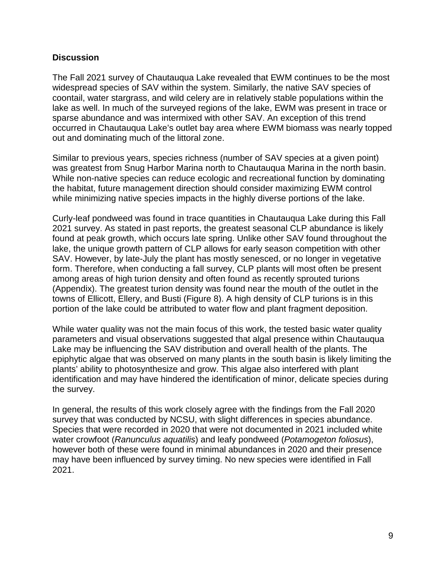## **Discussion**

The Fall 2021 survey of Chautauqua Lake revealed that EWM continues to be the most widespread species of SAV within the system. Similarly, the native SAV species of coontail, water stargrass, and wild celery are in relatively stable populations within the lake as well. In much of the surveyed regions of the lake, EWM was present in trace or sparse abundance and was intermixed with other SAV. An exception of this trend occurred in Chautauqua Lake's outlet bay area where EWM biomass was nearly topped out and dominating much of the littoral zone.

Similar to previous years, species richness (number of SAV species at a given point) was greatest from Snug Harbor Marina north to Chautauqua Marina in the north basin. While non-native species can reduce ecologic and recreational function by dominating the habitat, future management direction should consider maximizing EWM control while minimizing native species impacts in the highly diverse portions of the lake.

Curly-leaf pondweed was found in trace quantities in Chautauqua Lake during this Fall 2021 survey. As stated in past reports, the greatest seasonal CLP abundance is likely found at peak growth, which occurs late spring. Unlike other SAV found throughout the lake, the unique growth pattern of CLP allows for early season competition with other SAV. However, by late-July the plant has mostly senesced, or no longer in vegetative form. Therefore, when conducting a fall survey, CLP plants will most often be present among areas of high turion density and often found as recently sprouted turions (Appendix). The greatest turion density was found near the mouth of the outlet in the towns of Ellicott, Ellery, and Busti (Figure 8). A high density of CLP turions is in this portion of the lake could be attributed to water flow and plant fragment deposition.

While water quality was not the main focus of this work, the tested basic water quality parameters and visual observations suggested that algal presence within Chautauqua Lake may be influencing the SAV distribution and overall health of the plants. The epiphytic algae that was observed on many plants in the south basin is likely limiting the plants' ability to photosynthesize and grow. This algae also interfered with plant identification and may have hindered the identification of minor, delicate species during the survey.

In general, the results of this work closely agree with the findings from the Fall 2020 survey that was conducted by NCSU, with slight differences in species abundance. Species that were recorded in 2020 that were not documented in 2021 included white water crowfoot (*Ranunculus aquatilis*) and leafy pondweed (*Potamogeton foliosus*), however both of these were found in minimal abundances in 2020 and their presence may have been influenced by survey timing. No new species were identified in Fall 2021.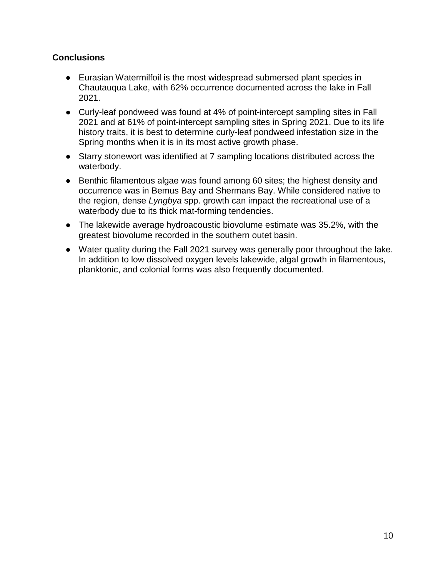# **Conclusions**

- Eurasian Watermilfoil is the most widespread submersed plant species in Chautauqua Lake, with 62% occurrence documented across the lake in Fall 2021.
- Curly-leaf pondweed was found at 4% of point-intercept sampling sites in Fall 2021 and at 61% of point-intercept sampling sites in Spring 2021. Due to its life history traits, it is best to determine curly-leaf pondweed infestation size in the Spring months when it is in its most active growth phase.
- Starry stonewort was identified at 7 sampling locations distributed across the waterbody.
- Benthic filamentous algae was found among 60 sites; the highest density and occurrence was in Bemus Bay and Shermans Bay. While considered native to the region, dense *Lyngbya* spp. growth can impact the recreational use of a waterbody due to its thick mat-forming tendencies.
- The lakewide average hydroacoustic biovolume estimate was 35.2%, with the greatest biovolume recorded in the southern outet basin.
- Water quality during the Fall 2021 survey was generally poor throughout the lake. In addition to low dissolved oxygen levels lakewide, algal growth in filamentous, planktonic, and colonial forms was also frequently documented.